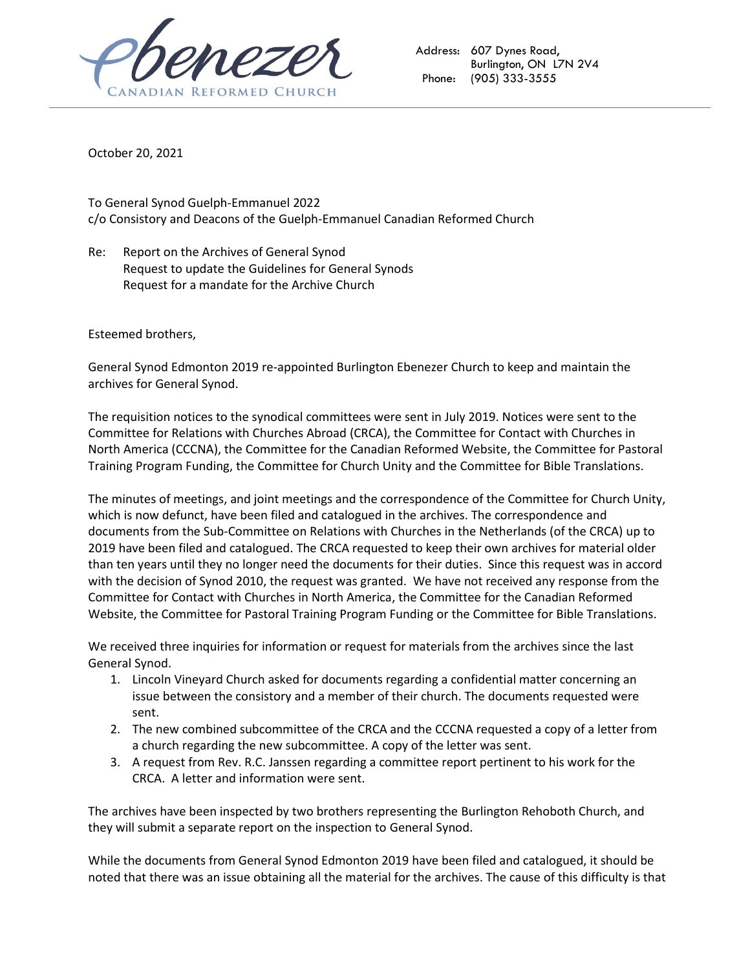

Address: 607 Dynes Road, Burlington, ON L7N 2V4 Phone: (905) 333-3555

October 20, 2021

To General Synod Guelph-Emmanuel 2022 c/o Consistory and Deacons of the Guelph-Emmanuel Canadian Reformed Church

Re: Report on the Archives of General Synod Request to update the Guidelines for General Synods Request for a mandate for the Archive Church

Esteemed brothers,

General Synod Edmonton 2019 re-appointed Burlington Ebenezer Church to keep and maintain the archives for General Synod.

The requisition notices to the synodical committees were sent in July 2019. Notices were sent to the Committee for Relations with Churches Abroad (CRCA), the Committee for Contact with Churches in North America (CCCNA), the Committee for the Canadian Reformed Website, the Committee for Pastoral Training Program Funding, the Committee for Church Unity and the Committee for Bible Translations.

The minutes of meetings, and joint meetings and the correspondence of the Committee for Church Unity, which is now defunct, have been filed and catalogued in the archives. The correspondence and documents from the Sub-Committee on Relations with Churches in the Netherlands (of the CRCA) up to 2019 have been filed and catalogued. The CRCA requested to keep their own archives for material older than ten years until they no longer need the documents for their duties. Since this request was in accord with the decision of Synod 2010, the request was granted. We have not received any response from the Committee for Contact with Churches in North America, the Committee for the Canadian Reformed Website, the Committee for Pastoral Training Program Funding or the Committee for Bible Translations.

We received three inquiries for information or request for materials from the archives since the last General Synod.

- 1. Lincoln Vineyard Church asked for documents regarding a confidential matter concerning an issue between the consistory and a member of their church. The documents requested were sent.
- 2. The new combined subcommittee of the CRCA and the CCCNA requested a copy of a letter from a church regarding the new subcommittee. A copy of the letter was sent.
- 3. A request from Rev. R.C. Janssen regarding a committee report pertinent to his work for the CRCA. A letter and information were sent.

The archives have been inspected by two brothers representing the Burlington Rehoboth Church, and they will submit a separate report on the inspection to General Synod.

While the documents from General Synod Edmonton 2019 have been filed and catalogued, it should be noted that there was an issue obtaining all the material for the archives. The cause of this difficulty is that